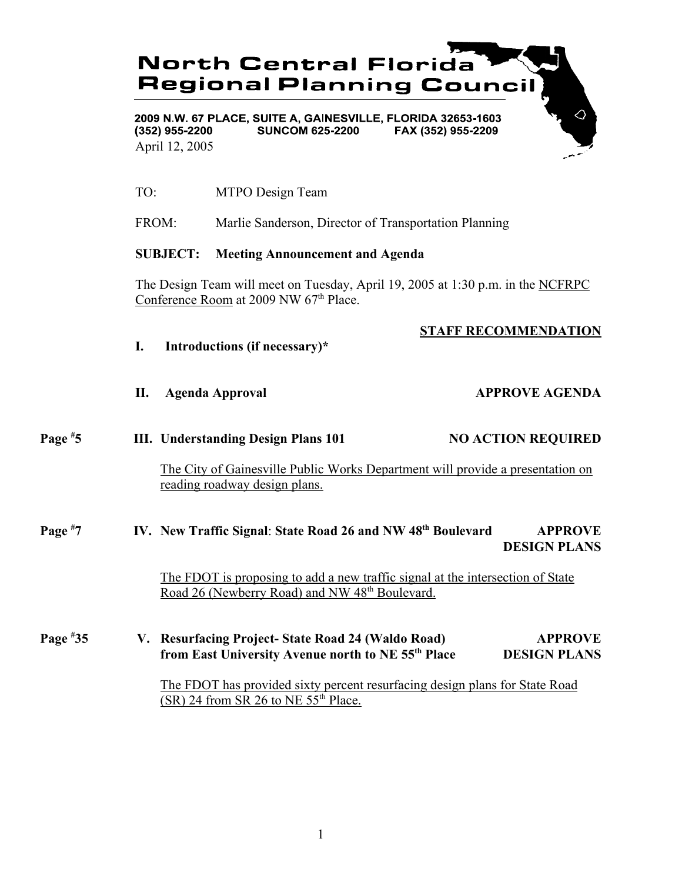# **North Central Florida Regional Planning Council**

2009 N.W. 67 PLACE, SUITE A, GAINESVILLE, FLORIDA 32653-1603  $(352)$  955-2200 **SUNCOM 625-2200** FAX (352) 955-2209 April 12, 2005

TO: MTPO Design Team

**I. Introductions (if necessary)\***

FROM: Marlie Sanderson, Director of Transportation Planning

### **SUBJECT: Meeting Announcement and Agenda**

The Design Team will meet on Tuesday, April 19, 2005 at 1:30 p.m. in the NCFRPC Conference Room at 2009 NW 67<sup>th</sup> Place.

|  |  | <b>STAFF RECOMMENDATION</b> |  |  |
|--|--|-----------------------------|--|--|
|--|--|-----------------------------|--|--|

- **II.** Agenda Approval **APPROVE AGENDA**
- **Page # III.** Understanding Design Plans 101 NO ACTION REQUIRED

The City of Gainesville Public Works Department will provide a presentation on reading roadway design plans.

#### **Page # 7 IV. New Traffic Signal**: **State Road 26 and NW 48th Boulevard APPROVE DESIGN PLANS**

The FDOT is proposing to add a new traffic signal at the intersection of State Road 26 (Newberry Road) and NW 48<sup>th</sup> Boulevard.

**Page # 35 V. Resurfacing Project- State Road 24 (Waldo Road) APPROVE from East University Avenue north to NE 55<sup>th</sup> Place DESIGN PLANS** 

> The FDOT has provided sixty percent resurfacing design plans for State Road  $(SR)$  24 from SR 26 to NE 55<sup>th</sup> Place.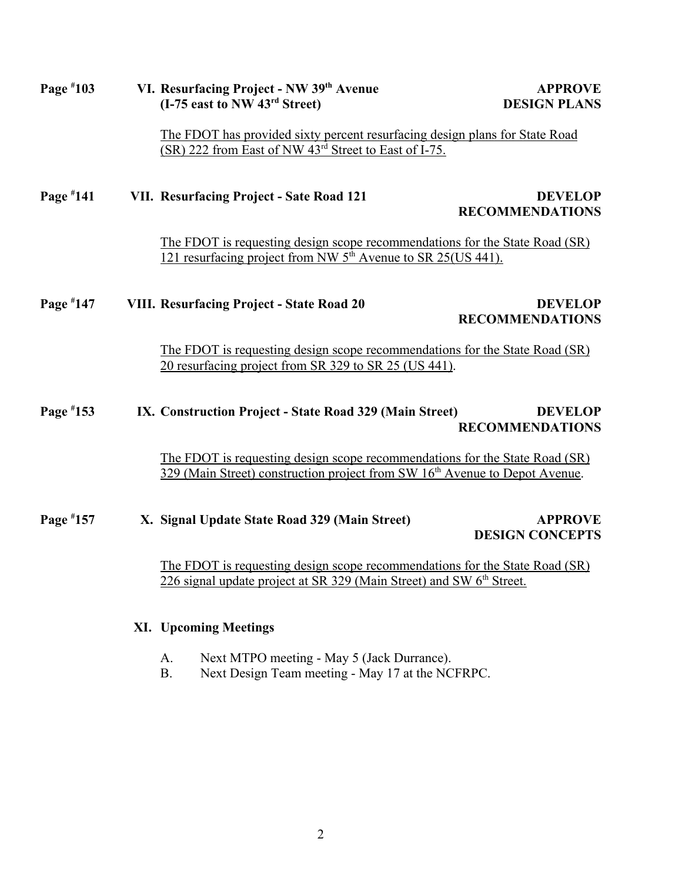| Page $*103$ | VI. Resurfacing Project - NW 39th Avenue<br>(I-75 east to NW 43 <sup>rd</sup> Street)<br><b>DESIGN PLANS</b>                                                           | <b>APPROVE</b> |
|-------------|------------------------------------------------------------------------------------------------------------------------------------------------------------------------|----------------|
|             | The FDOT has provided sixty percent resurfacing design plans for State Road<br>(SR) 222 from East of NW 43 <sup>rd</sup> Street to East of I-75.                       |                |
| Page #141   | VII. Resurfacing Project - Sate Road 121<br><b>RECOMMENDATIONS</b>                                                                                                     | <b>DEVELOP</b> |
|             | The FDOT is requesting design scope recommendations for the State Road (SR)<br>121 resurfacing project from NW 5 <sup>th</sup> Avenue to SR 25(US 441).                |                |
| Page #147   | <b>VIII. Resurfacing Project - State Road 20</b><br><b>RECOMMENDATIONS</b>                                                                                             | <b>DEVELOP</b> |
|             | The FDOT is requesting design scope recommendations for the State Road (SR)<br>20 resurfacing project from SR 329 to SR 25 (US 441).                                   |                |
| Page #153   | IX. Construction Project - State Road 329 (Main Street)<br><b>RECOMMENDATIONS</b>                                                                                      | <b>DEVELOP</b> |
|             | The FDOT is requesting design scope recommendations for the State Road (SR)<br>329 (Main Street) construction project from SW 16 <sup>th</sup> Avenue to Depot Avenue. |                |
| Page #157   | X. Signal Update State Road 329 (Main Street)<br><b>DESIGN CONCEPTS</b>                                                                                                | <b>APPROVE</b> |
|             | The FDOT is requesting design scope recommendations for the State Road (SR)<br>226 signal update project at SR 329 (Main Street) and SW 6 <sup>th</sup> Street.        |                |

# **XI. Upcoming Meetings**

- A. Next MTPO meeting May 5 (Jack Durrance).
- B. Next Design Team meeting May 17 at the NCFRPC.